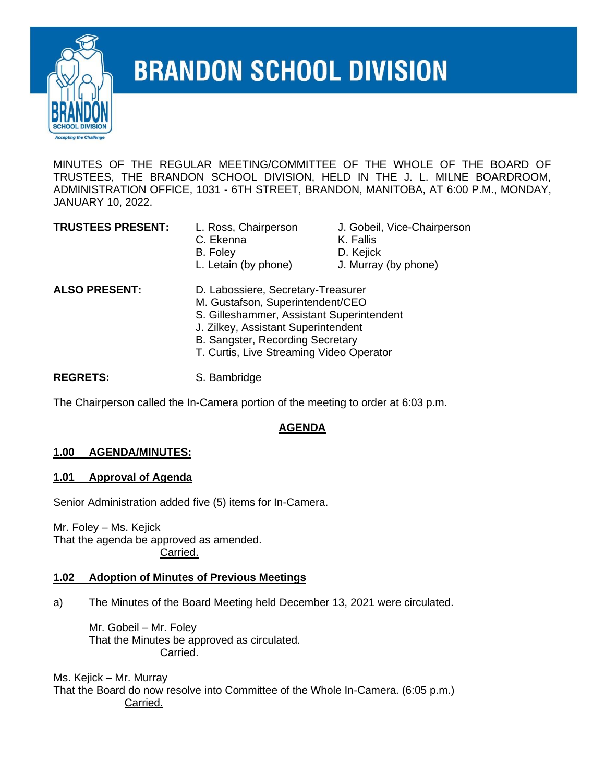

# **BRANDON SCHOOL DIVISION**

MINUTES OF THE REGULAR MEETING/COMMITTEE OF THE WHOLE OF THE BOARD OF TRUSTEES, THE BRANDON SCHOOL DIVISION, HELD IN THE J. L. MILNE BOARDROOM, ADMINISTRATION OFFICE, 1031 - 6TH STREET, BRANDON, MANITOBA, AT 6:00 P.M., MONDAY, JANUARY 10, 2022.

- L. Ross, Chairperson J. Gobeil, Vice-Chairperson C. Ekenna K. Fallis B. Foley **D. Kejick** 
	-
	-
- L. Letain (by phone) J. Murray (by phone)

**ALSO PRESENT:** D. Labossiere, Secretary-Treasurer M. Gustafson, Superintendent/CEO S. Gilleshammer, Assistant Superintendent J. Zilkey, Assistant Superintendent B. Sangster, Recording Secretary T. Curtis, Live Streaming Video Operator

REGRETS: S. Bambridge

The Chairperson called the In-Camera portion of the meeting to order at 6:03 p.m.

# **AGENDA**

# **1.00 AGENDA/MINUTES:**

# **1.01 Approval of Agenda**

Senior Administration added five (5) items for In-Camera.

Mr. Foley – Ms. Kejick That the agenda be approved as amended. Carried.

# **1.02 Adoption of Minutes of Previous Meetings**

a) The Minutes of the Board Meeting held December 13, 2021 were circulated.

Mr. Gobeil – Mr. Foley That the Minutes be approved as circulated. Carried.

Ms. Kejick – Mr. Murray That the Board do now resolve into Committee of the Whole In-Camera. (6:05 p.m.) Carried.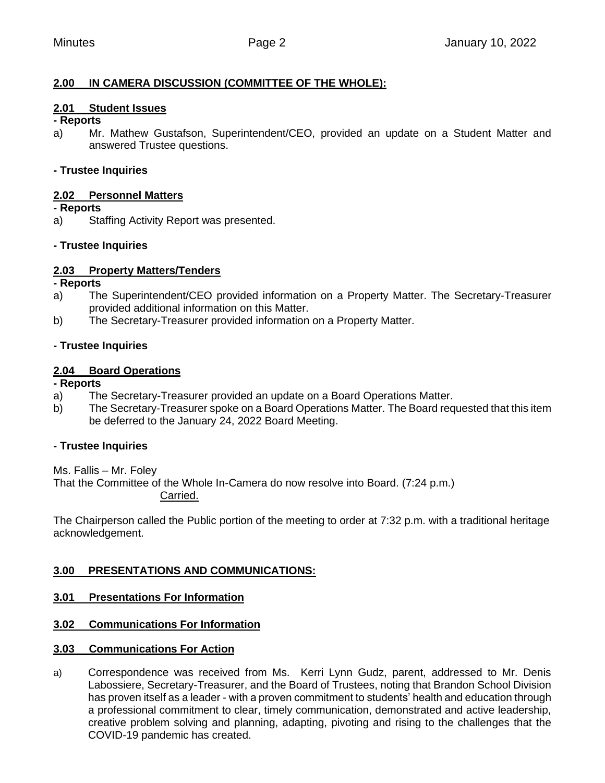## **2.00 IN CAMERA DISCUSSION (COMMITTEE OF THE WHOLE):**

### **2.01 Student Issues**

#### **- Reports**

a) Mr. Mathew Gustafson, Superintendent/CEO, provided an update on a Student Matter and answered Trustee questions.

### **- Trustee Inquiries**

#### **2.02 Personnel Matters**

#### **- Reports**

a) Staffing Activity Report was presented.

### **- Trustee Inquiries**

#### **2.03 Property Matters/Tenders**

#### **- Reports**

- a) The Superintendent/CEO provided information on a Property Matter. The Secretary-Treasurer provided additional information on this Matter.
- b) The Secretary-Treasurer provided information on a Property Matter.

### **- Trustee Inquiries**

### **2.04 Board Operations**

#### **- Reports**

- a) The Secretary-Treasurer provided an update on a Board Operations Matter.
- b) The Secretary-Treasurer spoke on a Board Operations Matter. The Board requested that this item be deferred to the January 24, 2022 Board Meeting.

### **- Trustee Inquiries**

Ms. Fallis – Mr. Foley That the Committee of the Whole In-Camera do now resolve into Board. (7:24 p.m.) Carried.

The Chairperson called the Public portion of the meeting to order at 7:32 p.m. with a traditional heritage acknowledgement.

### **3.00 PRESENTATIONS AND COMMUNICATIONS:**

### **3.01 Presentations For Information**

### **3.02 Communications For Information**

### **3.03 Communications For Action**

a) Correspondence was received from Ms. Kerri Lynn Gudz, parent, addressed to Mr. Denis Labossiere, Secretary-Treasurer, and the Board of Trustees, noting that Brandon School Division has proven itself as a leader - with a proven commitment to students' health and education through a professional commitment to clear, timely communication, demonstrated and active leadership, creative problem solving and planning, adapting, pivoting and rising to the challenges that the COVID-19 pandemic has created.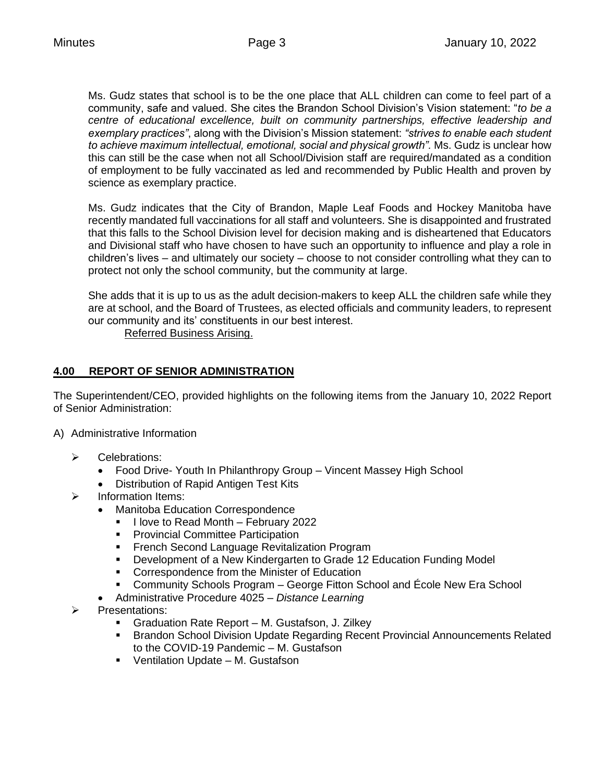Ms. Gudz states that school is to be the one place that ALL children can come to feel part of a community, safe and valued. She cites the Brandon School Division's Vision statement: "*to be a centre of educational excellence, built on community partnerships, effective leadership and exemplary practices"*, along with the Division's Mission statement: *"strives to enable each student to achieve maximum intellectual, emotional, social and physical growth".* Ms. Gudz is unclear how this can still be the case when not all School/Division staff are required/mandated as a condition of employment to be fully vaccinated as led and recommended by Public Health and proven by science as exemplary practice.

Ms. Gudz indicates that the City of Brandon, Maple Leaf Foods and Hockey Manitoba have recently mandated full vaccinations for all staff and volunteers. She is disappointed and frustrated that this falls to the School Division level for decision making and is disheartened that Educators and Divisional staff who have chosen to have such an opportunity to influence and play a role in children's lives – and ultimately our society – choose to not consider controlling what they can to protect not only the school community, but the community at large.

She adds that it is up to us as the adult decision-makers to keep ALL the children safe while they are at school, and the Board of Trustees, as elected officials and community leaders, to represent our community and its' constituents in our best interest.

Referred Business Arising.

# **4.00 REPORT OF SENIOR ADMINISTRATION**

The Superintendent/CEO, provided highlights on the following items from the January 10, 2022 Report of Senior Administration:

- A) Administrative Information
	- ➢ Celebrations:
		- Food Drive- Youth In Philanthropy Group Vincent Massey High School
		- Distribution of Rapid Antigen Test Kits
	- ➢ Information Items:
		- Manitoba Education Correspondence
			- I love to Read Month February 2022
			- **Provincial Committee Participation**
			- **EXECOLE FRENCH SECOND Language Revitalization Program**
			- Development of a New Kindergarten to Grade 12 Education Funding Model
			- Correspondence from the Minister of Education
			- Community Schools Program George Fitton School and Ecole New Era School
		- Administrative Procedure 4025 *Distance Learning*
	- ➢ Presentations:
		- Graduation Rate Report M. Gustafson, J. Zilkey
		- Brandon School Division Update Regarding Recent Provincial Announcements Related to the COVID-19 Pandemic – M. Gustafson
		- Ventilation Update M. Gustafson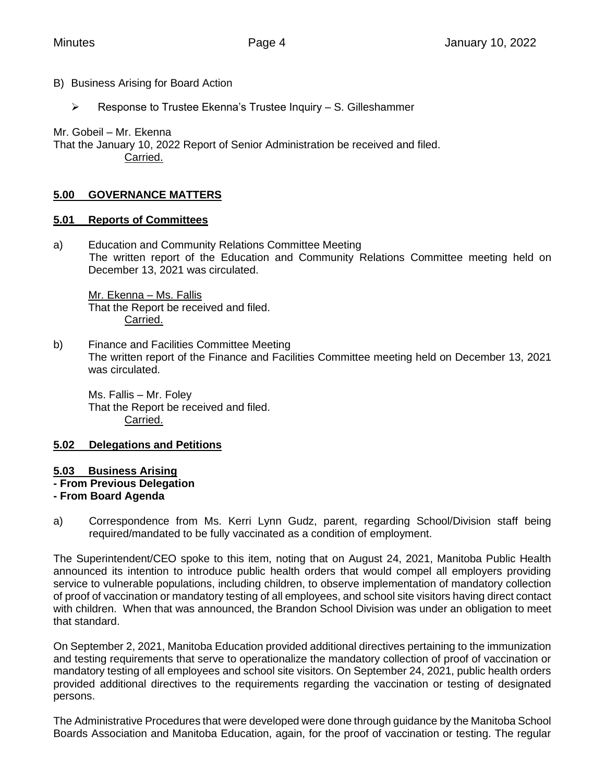- B) Business Arising for Board Action
	- ➢ Response to Trustee Ekenna's Trustee Inquiry S. Gilleshammer

Mr. Gobeil – Mr. Ekenna

That the January 10, 2022 Report of Senior Administration be received and filed. Carried.

## **5.00 GOVERNANCE MATTERS**

### **5.01 Reports of Committees**

a) Education and Community Relations Committee Meeting The written report of the Education and Community Relations Committee meeting held on December 13, 2021 was circulated.

Mr. Ekenna – Ms. Fallis That the Report be received and filed. Carried.

b) Finance and Facilities Committee Meeting The written report of the Finance and Facilities Committee meeting held on December 13, 2021 was circulated.

Ms. Fallis – Mr. Foley That the Report be received and filed. Carried.

### **5.02 Delegations and Petitions**

#### **5.03 Business Arising**

**- From Previous Delegation**

### **- From Board Agenda**

a) Correspondence from Ms. Kerri Lynn Gudz, parent, regarding School/Division staff being required/mandated to be fully vaccinated as a condition of employment.

The Superintendent/CEO spoke to this item, noting that on August 24, 2021, Manitoba Public Health announced its intention to introduce public health orders that would compel all employers providing service to vulnerable populations, including children, to observe implementation of mandatory collection of proof of vaccination or mandatory testing of all employees, and school site visitors having direct contact with children. When that was announced, the Brandon School Division was under an obligation to meet that standard.

On September 2, 2021, Manitoba Education provided additional directives pertaining to the immunization and testing requirements that serve to operationalize the mandatory collection of proof of vaccination or mandatory testing of all employees and school site visitors. On September 24, 2021, public health orders provided additional directives to the requirements regarding the vaccination or testing of designated persons.

The Administrative Procedures that were developed were done through guidance by the Manitoba School Boards Association and Manitoba Education, again, for the proof of vaccination or testing. The regular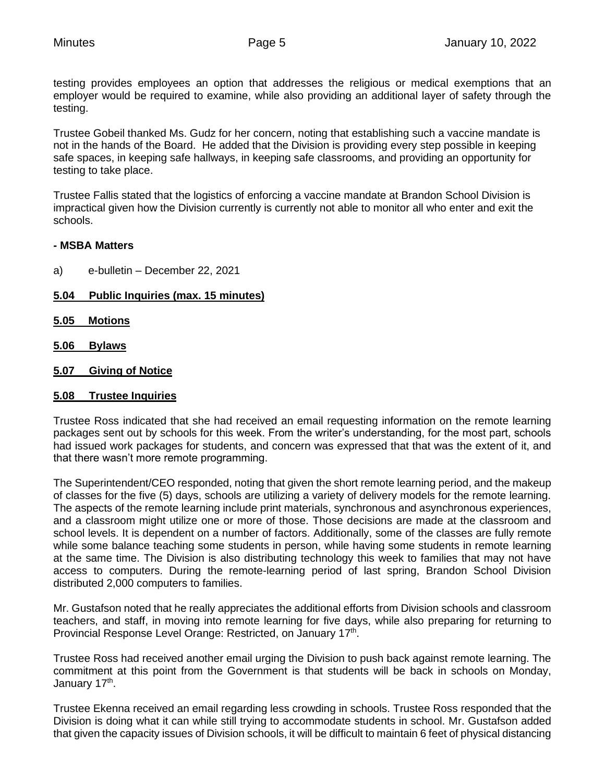testing provides employees an option that addresses the religious or medical exemptions that an employer would be required to examine, while also providing an additional layer of safety through the testing.

Trustee Gobeil thanked Ms. Gudz for her concern, noting that establishing such a vaccine mandate is not in the hands of the Board. He added that the Division is providing every step possible in keeping safe spaces, in keeping safe hallways, in keeping safe classrooms, and providing an opportunity for testing to take place.

Trustee Fallis stated that the logistics of enforcing a vaccine mandate at Brandon School Division is impractical given how the Division currently is currently not able to monitor all who enter and exit the schools.

#### **- MSBA Matters**

- a) e-bulletin December 22, 2021
- **5.04 Public Inquiries (max. 15 minutes)**
- **5.05 Motions**
- **5.06 Bylaws**
- **5.07 Giving of Notice**

#### **5.08 Trustee Inquiries**

Trustee Ross indicated that she had received an email requesting information on the remote learning packages sent out by schools for this week. From the writer's understanding, for the most part, schools had issued work packages for students, and concern was expressed that that was the extent of it, and that there wasn't more remote programming.

The Superintendent/CEO responded, noting that given the short remote learning period, and the makeup of classes for the five (5) days, schools are utilizing a variety of delivery models for the remote learning. The aspects of the remote learning include print materials, synchronous and asynchronous experiences, and a classroom might utilize one or more of those. Those decisions are made at the classroom and school levels. It is dependent on a number of factors. Additionally, some of the classes are fully remote while some balance teaching some students in person, while having some students in remote learning at the same time. The Division is also distributing technology this week to families that may not have access to computers. During the remote-learning period of last spring, Brandon School Division distributed 2,000 computers to families.

Mr. Gustafson noted that he really appreciates the additional efforts from Division schools and classroom teachers, and staff, in moving into remote learning for five days, while also preparing for returning to Provincial Response Level Orange: Restricted, on January 17<sup>th</sup>.

Trustee Ross had received another email urging the Division to push back against remote learning. The commitment at this point from the Government is that students will be back in schools on Monday, January 17<sup>th</sup>.

Trustee Ekenna received an email regarding less crowding in schools. Trustee Ross responded that the Division is doing what it can while still trying to accommodate students in school. Mr. Gustafson added that given the capacity issues of Division schools, it will be difficult to maintain 6 feet of physical distancing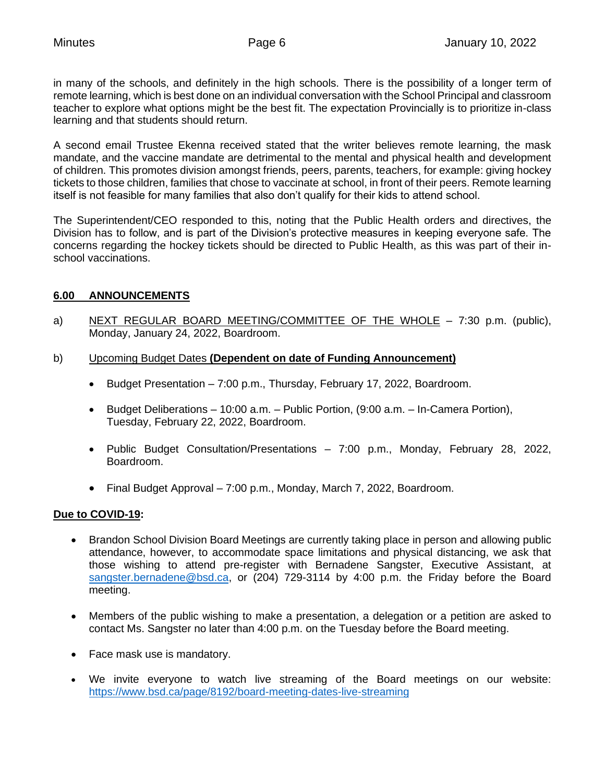in many of the schools, and definitely in the high schools. There is the possibility of a longer term of remote learning, which is best done on an individual conversation with the School Principal and classroom teacher to explore what options might be the best fit. The expectation Provincially is to prioritize in-class learning and that students should return.

A second email Trustee Ekenna received stated that the writer believes remote learning, the mask mandate, and the vaccine mandate are detrimental to the mental and physical health and development of children. This promotes division amongst friends, peers, parents, teachers, for example: giving hockey tickets to those children, families that chose to vaccinate at school, in front of their peers. Remote learning itself is not feasible for many families that also don't qualify for their kids to attend school.

The Superintendent/CEO responded to this, noting that the Public Health orders and directives, the Division has to follow, and is part of the Division's protective measures in keeping everyone safe. The concerns regarding the hockey tickets should be directed to Public Health, as this was part of their inschool vaccinations.

### **6.00 ANNOUNCEMENTS**

- a) NEXT REGULAR BOARD MEETING/COMMITTEE OF THE WHOLE 7:30 p.m. (public), Monday, January 24, 2022, Boardroom.
- b) Upcoming Budget Dates **(Dependent on date of Funding Announcement)**
	- Budget Presentation 7:00 p.m., Thursday, February 17, 2022, Boardroom.
	- Budget Deliberations 10:00 a.m. Public Portion, (9:00 a.m. In-Camera Portion), Tuesday, February 22, 2022, Boardroom.
	- Public Budget Consultation/Presentations 7:00 p.m., Monday, February 28, 2022, Boardroom.
	- Final Budget Approval 7:00 p.m., Monday, March 7, 2022, Boardroom.

### **Due to COVID-19:**

- Brandon School Division Board Meetings are currently taking place in person and allowing public attendance, however, to accommodate space limitations and physical distancing, we ask that those wishing to attend pre-register with Bernadene Sangster, Executive Assistant, at [sangster.bernadene@bsd.ca,](mailto:sangster.bernadene@bsd.ca) or (204) 729-3114 by 4:00 p.m. the Friday before the Board meeting.
- Members of the public wishing to make a presentation, a delegation or a petition are asked to contact Ms. Sangster no later than 4:00 p.m. on the Tuesday before the Board meeting.
- Face mask use is mandatory.
- We invite everyone to watch live streaming of the Board meetings on our website: <https://www.bsd.ca/page/8192/board-meeting-dates-live-streaming>